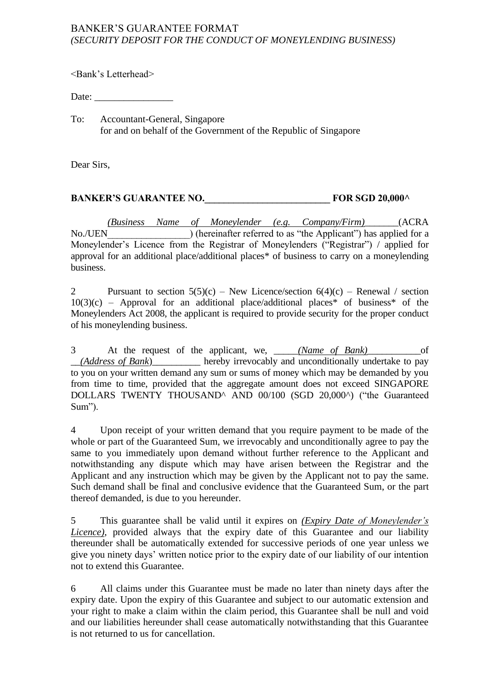## BANKER'S GUARANTEE FORMAT *(SECURITY DEPOSIT FOR THE CONDUCT OF MONEYLENDING BUSINESS)*

<Bank's Letterhead>

Date:

To: Accountant-General, Singapore for and on behalf of the Government of the Republic of Singapore

Dear Sirs,

## **BANKER'S GUARANTEE NO.** FOR SGD 20,000^

*(Business Name of Moneylender (e.g. Company/Firm)\_\_\_\_\_\_\_*(ACRA No./UEN\_\_\_\_\_\_\_\_\_\_\_\_\_\_\_\_\_) (hereinafter referred to as "the Applicant") has applied for a Moneylender's Licence from the Registrar of Moneylenders ("Registrar") / applied for approval for an additional place/additional places\* of business to carry on a moneylending business.

2 Pursuant to section  $5(5)(c)$  – New Licence/section  $6(4)(c)$  – Renewal / section  $10(3)(c)$  – Approval for an additional place/additional places\* of business\* of the Moneylenders Act 2008, the applicant is required to provide security for the proper conduct of his moneylending business.

3 At the request of the applicant, we, \_\_\_\_\_*(Name of Bank)\_\_\_\_\_\_\_\_\_\_\_*of \_\_*(Address of Bank*)\_\_\_\_\_\_\_\_\_\_ hereby irrevocably and unconditionally undertake to pay to you on your written demand any sum or sums of money which may be demanded by you from time to time, provided that the aggregate amount does not exceed SINGAPORE DOLLARS TWENTY THOUSAND^ AND 00/100 (SGD 20,000^) ("the Guaranteed Sum").

4 Upon receipt of your written demand that you require payment to be made of the whole or part of the Guaranteed Sum, we irrevocably and unconditionally agree to pay the same to you immediately upon demand without further reference to the Applicant and notwithstanding any dispute which may have arisen between the Registrar and the Applicant and any instruction which may be given by the Applicant not to pay the same. Such demand shall be final and conclusive evidence that the Guaranteed Sum, or the part thereof demanded, is due to you hereunder.

5 This guarantee shall be valid until it expires on *(Expiry Date of Moneylender's Licence)*, provided always that the expiry date of this Guarantee and our liability thereunder shall be automatically extended for successive periods of one year unless we give you ninety days' written notice prior to the expiry date of our liability of our intention not to extend this Guarantee.

6 All claims under this Guarantee must be made no later than ninety days after the expiry date. Upon the expiry of this Guarantee and subject to our automatic extension and your right to make a claim within the claim period, this Guarantee shall be null and void and our liabilities hereunder shall cease automatically notwithstanding that this Guarantee is not returned to us for cancellation.